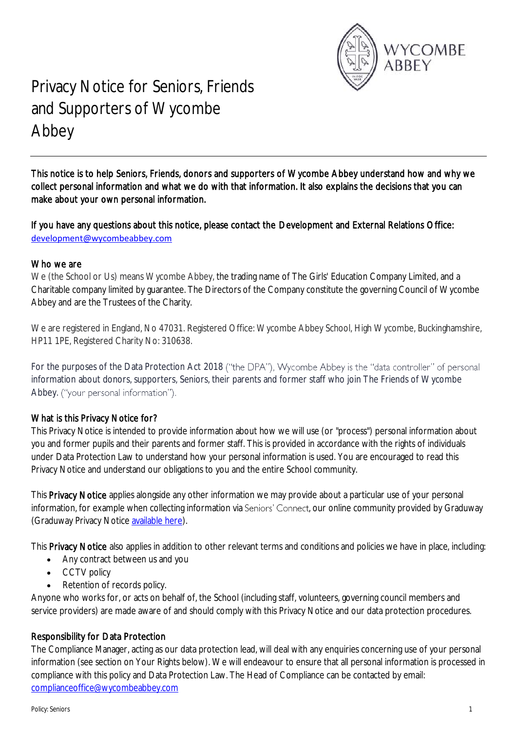

# Privacy Notice for Seniors, Friends and Supporters of Wycombe Abbey

This notice is to help Seniors, Friends, donors and supporters of Wycombe Abbey understand how and why we collect personal information and what we do with that information. It also explains the decisions that you can make about your own personal information.

If you have any questions about this notice, please contact the Development and External Relations Office: [development@wycombeabbey.com](mailto:development@wycombeabbey.com)

#### Who we are

We (the School or Us) means Wycombe Abbey, the trading name of The Girls' Education Company Limited, and a Charitable company limited by guarantee. The Directors of the Company constitute the governing Council of Wycombe Abbey and are the Trustees of the Charity.

We are registered in England, No 47031. Registered Office: Wycombe Abbey School, High Wycombe, Buckinghamshire, HP11 1PE, Registered Charity No: 310638.

For the purposes of the Data Protection Act 2018 ("the DPA"), Wycombe Abbey is the "data controller" of personal information about donors, supporters, Seniors, their parents and former staff who join The Friends of Wycombe Abbey. ("your personal information").

# What is this Privacy Notice for?

This Privacy Notice is intended to provide information about how we will use (or "process") personal information about you and former pupils and their parents and former staff. This is provided in accordance with the rights of individuals under Data Protection Law to understand how your personal information is used. You are encouraged to read this Privacy Notice and understand our obligations to you and the entire School community.

This Privacy Notice applies alongside any other information we may provide about a particular use of your personal information, for example when collecting information via Seniors' Connect, our online community provided by Graduway (Graduway Privacy Notic[e available here\)](https://wycombeabbeyseniors.com/privacy-policy).

This **Privacy Notice** also applies in addition to other relevant terms and conditions and policies we have in place, including:

- Any contract between us and you
- CCTV policy
- Retention of records policy.

Anyone who works for, or acts on behalf of, the School (including staff, volunteers, governing council members and service providers) are made aware of and should comply with this Privacy Notice and our data protection procedures.

# Responsibility for Data Protection

The Compliance Manager, acting as our data protection lead, will deal with any enquiries concerning use of your personal information (see section on Your Rights below). We will endeavour to ensure that all personal information is processed in compliance with this policy and Data Protection Law. The Head of Compliance can be contacted by email: [complianceoffice@wycombeabbey.com](mailto:bursar@wycombeabbey.com)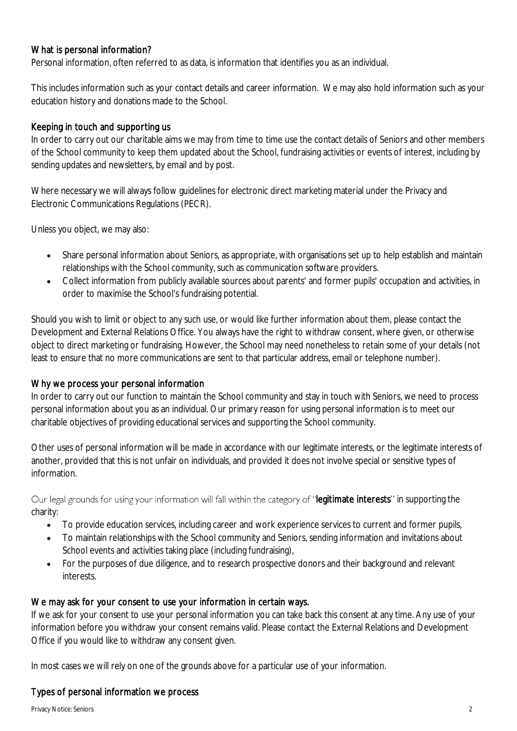### What is personal information?

Personal information, often referred to as data, is information that identifies you as an individual.

This includes information such as your contact details and career information. We may also hold information such as your education history and donations made to the School.

# Keeping in touch and supporting us

In order to carry out our charitable aims we may from time to time use the contact details of Seniors and other members of the School community to keep them updated about the School, fundraising activities or events of interest, including by sending updates and newsletters, by email and by post.

Where necessary we will always follow guidelines for electronic direct marketing material under the Privacy and Electronic Communications Regulations (PECR).

Unless you object, we may also:

- Share personal information about Seniors, as appropriate, with organisations set up to help establish and maintain relationships with the School community, such as communication software providers.
- Collect information from publicly available sources about parents' and former pupils' occupation and activities, in order to maximise the School's fundraising potential.

Should you wish to limit or object to any such use, or would like further information about them, please contact the Development and External Relations Office. You always have the right to withdraw consent, where given, or otherwise object to direct marketing or fundraising. However, the School may need nonetheless to retain some of your details (not least to ensure that no more communications are sent to that particular address, email or telephone number).

#### Why we process your personal information

In order to carry out our function to maintain the School community and stay in touch with Seniors, we need to process personal information about you as an individual. Our primary reason for using personal information is to meet our charitable objectives of providing educational services and supporting the School community.

Other uses of personal information will be made in accordance with our legitimate interests, or the legitimate interests of another, provided that this is not unfair on individuals, and provided it does not involve special or sensitive types of information.

Our legal grounds for using your information will fall within the category of "legitimate interests" in supporting the charity:

- To provide education services, including career and work experience services to current and former pupils,
- To maintain relationships with the School community and Seniors, sending information and invitations about School events and activities taking place (including fundraising),
- For the purposes of due diligence, and to research prospective donors and their background and relevant interests.

# We may ask for your consent to use your information in certain ways.

If we ask for your consent to use your personal information you can take back this consent at any time. Any use of your information before you withdraw your consent remains valid. Please contact the External Relations and Development Office if you would like to withdraw any consent given.

In most cases we will rely on one of the grounds above for a particular use of your information.

#### Types of personal information we process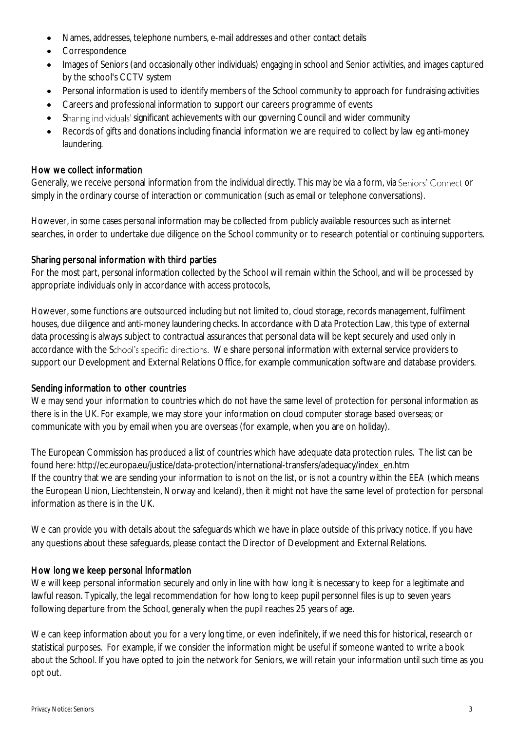- Names, addresses, telephone numbers, e-mail addresses and other contact details
- Correspondence
- Images of Seniors (and occasionally other individuals) engaging in school and Senior activities, and images captured by the school's CCTV system
- Personal information is used to identify members of the School community to approach for fundraising activities
- Careers and professional information to support our careers programme of events
- Sharing individuals' significant achievements with our governing Council and wider community
- Records of gifts and donations including financial information we are required to collect by law eg anti-money laundering.

#### How we collect information

Generally, we receive personal information from the individual directly. This may be via a form, via Seniors' Connect or simply in the ordinary course of interaction or communication (such as email or telephone conversations).

However, in some cases personal information may be collected from publicly available resources such as internet searches, in order to undertake due diligence on the School community or to research potential or continuing supporters.

#### Sharing personal information with third parties

For the most part, personal information collected by the School will remain within the School, and will be processed by appropriate individuals only in accordance with access protocols,

However, some functions are outsourced including but not limited to, cloud storage, records management, fulfilment houses, due diligence and anti-money laundering checks. In accordance with Data Protection Law, this type of external data processing is always subject to contractual assurances that personal data will be kept securely and used only in accordance with the School's specific directions. We share personal information with external service providers to support our Development and External Relations Office, for example communication software and database providers.

#### Sending information to other countries

We may send your information to countries which do not have the same level of protection for personal information as there is in the UK. For example, we may store your information on cloud computer storage based overseas; or communicate with you by email when you are overseas (for example, when you are on holiday).

The European Commission has produced a list of countries which have adequate data protection rules. The list can be found here: http://ec.europa.eu/justice/data-protection/international-transfers/adequacy/index\_en.htm If the country that we are sending your information to is not on the list, or is not a country within the EEA (which means the European Union, Liechtenstein, Norway and Iceland), then it might not have the same level of protection for personal information as there is in the UK.

We can provide you with details about the safeguards which we have in place outside of this privacy notice. If you have any questions about these safeguards, please contact the Director of Development and External Relations.

#### How long we keep personal information

We will keep personal information securely and only in line with how long it is necessary to keep for a legitimate and lawful reason. Typically, the legal recommendation for how long to keep pupil personnel files is up to seven years following departure from the School, generally when the pupil reaches 25 years of age.

We can keep information about you for a very long time, or even indefinitely, if we need this for historical, research or statistical purposes. For example, if we consider the information might be useful if someone wanted to write a book about the School. If you have opted to join the network for Seniors, we will retain your information until such time as you opt out.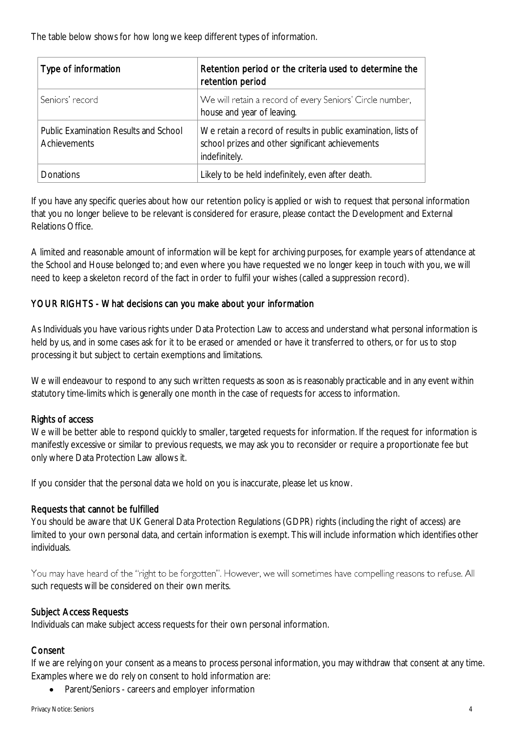The table below shows for how long we keep different types of information.

| Type of information                                          | Retention period or the criteria used to determine the<br>retention period                                                         |
|--------------------------------------------------------------|------------------------------------------------------------------------------------------------------------------------------------|
| Seniors' record                                              | We will retain a record of every Seniors' Circle number,<br>house and year of leaving.                                             |
| <b>Public Examination Results and School</b><br>Achievements | We retain a record of results in public examination, lists of<br>school prizes and other significant achievements<br>indefinitely. |
| <b>Donations</b>                                             | Likely to be held indefinitely, even after death.                                                                                  |

If you have any specific queries about how our retention policy is applied or wish to request that personal information that you no longer believe to be relevant is considered for erasure, please contact the Development and External Relations Office.

A limited and reasonable amount of information will be kept for archiving purposes, for example years of attendance at the School and House belonged to; and even where you have requested we no longer keep in touch with you, we will need to keep a skeleton record of the fact in order to fulfil your wishes (called a suppression record).

# YOUR RIGHTS - What decisions can you make about your information

As Individuals you have various rights under Data Protection Law to access and understand what personal information is held by us, and in some cases ask for it to be erased or amended or have it transferred to others, or for us to stop processing it but subject to certain exemptions and limitations.

We will endeavour to respond to any such written requests as soon as is reasonably practicable and in any event within statutory time-limits which is generally one month in the case of requests for access to information.

# Rights of access

We will be better able to respond quickly to smaller, targeted requests for information. If the request for information is manifestly excessive or similar to previous requests, we may ask you to reconsider or require a proportionate fee but only where Data Protection Law allows it.

If you consider that the personal data we hold on you is inaccurate, please let us know.

# Requests that cannot be fulfilled

You should be aware that UK General Data Protection Regulations (GDPR) rights (including the right of access) are limited to your own personal data, and certain information is exempt. This will include information which identifies other individuals.

You may have heard of the "right to be forgotten". However, we will sometimes have compelling reasons to refuse. All such requests will be considered on their own merits.

# Subject Access Requests

Individuals can make subject access requests for their own personal information.

# Consent

If we are relying on your consent as a means to process personal information, you may withdraw that consent at any time. Examples where we do rely on consent to hold information are:

• Parent/Seniors - careers and employer information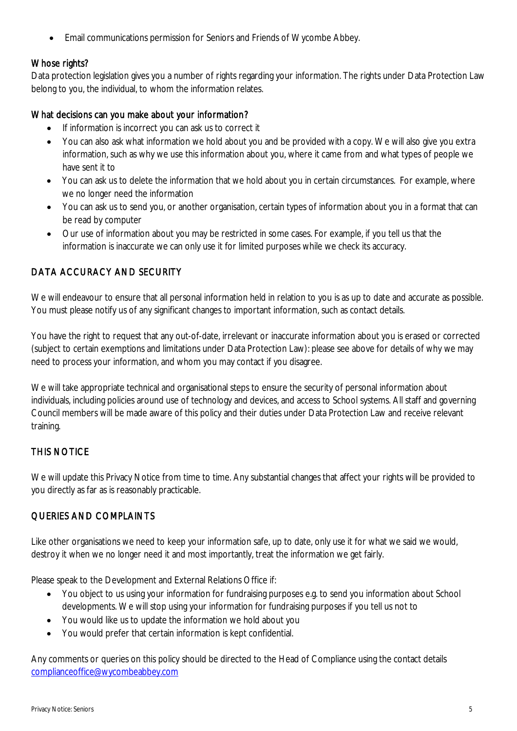Email communications permission for Seniors and Friends of Wycombe Abbey.

# Whose rights?

Data protection legislation gives you a number of rights regarding your information. The rights under Data Protection Law belong to you, the individual, to whom the information relates.

# What decisions can you make about your information?

- If information is incorrect you can ask us to correct it
- You can also ask what information we hold about you and be provided with a copy. We will also give you extra information, such as why we use this information about you, where it came from and what types of people we have sent it to
- You can ask us to delete the information that we hold about you in certain circumstances. For example, where we no longer need the information
- You can ask us to send you, or another organisation, certain types of information about you in a format that can be read by computer
- Our use of information about you may be restricted in some cases. For example, if you tell us that the information is inaccurate we can only use it for limited purposes while we check its accuracy.

# DATA ACCURACY AND SECURITY

We will endeavour to ensure that all personal information held in relation to you is as up to date and accurate as possible. You must please notify us of any significant changes to important information, such as contact details.

You have the right to request that any out-of-date, irrelevant or inaccurate information about you is erased or corrected (subject to certain exemptions and limitations under Data Protection Law): please see above for details of why we may need to process your information, and whom you may contact if you disagree.

We will take appropriate technical and organisational steps to ensure the security of personal information about individuals, including policies around use of technology and devices, and access to School systems. All staff and governing Council members will be made aware of this policy and their duties under Data Protection Law and receive relevant training.

# THIS NOTICE

We will update this Privacy Notice from time to time. Any substantial changes that affect your rights will be provided to you directly as far as is reasonably practicable.

# QUERIES AND COMPLAINTS

Like other organisations we need to keep your information safe, up to date, only use it for what we said we would, destroy it when we no longer need it and most importantly, treat the information we get fairly.

Please speak to the Development and External Relations Office if:

- You object to us using your information for fundraising purposes e.g. to send you information about School developments. We will stop using your information for fundraising purposes if you tell us not to
- You would like us to update the information we hold about you
- You would prefer that certain information is kept confidential.

Any comments or queries on this policy should be directed to the Head of Compliance using the contact details [complianceoffice@wycombeabbey.com](mailto:bursar@wycombeabbey.com)